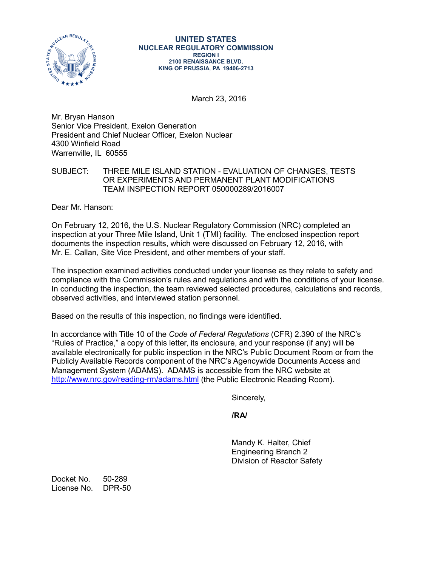

March 23, 2016

Mr. Bryan Hanson Senior Vice President, Exelon Generation President and Chief Nuclear Officer, Exelon Nuclear 4300 Winfield Road Warrenville, IL 60555

## SUBJECT: THREE MILE ISLAND STATION - EVALUATION OF CHANGES, TESTS OR EXPERIMENTS AND PERMANENT PLANT MODIFICATIONS TEAM INSPECTION REPORT 050000289/2016007

Dear Mr. Hanson:

On February 12, 2016, the U.S. Nuclear Regulatory Commission (NRC) completed an inspection at your Three Mile Island, Unit 1 (TMI) facility. The enclosed inspection report documents the inspection results, which were discussed on February 12, 2016, with Mr. E. Callan, Site Vice President, and other members of your staff.

The inspection examined activities conducted under your license as they relate to safety and compliance with the Commission's rules and regulations and with the conditions of your license. In conducting the inspection, the team reviewed selected procedures, calculations and records, observed activities, and interviewed station personnel.

Based on the results of this inspection, no findings were identified.

In accordance with Title 10 of the *Code of Federal Regulations* (CFR) 2.390 of the NRC's "Rules of Practice," a copy of this letter, its enclosure, and your response (if any) will be available electronically for public inspection in the NRC's Public Document Room or from the Publicly Available Records component of the NRC's Agencywide Documents Access and Management System (ADAMS). ADAMS is accessible from the NRC website at <http://www.nrc.gov/reading-rm/adams.html> (the Public Electronic Reading Room).

Sincerely,

**/RA/**

Mandy K. Halter, Chief Engineering Branch 2 Division of Reactor Safety

Docket No. 50-289 License No. DPR-50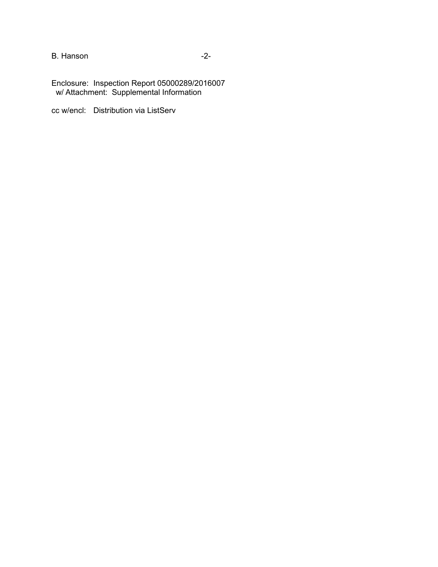B. Hanson **-2-**

Enclosure: Inspection Report 05000289/2016007 w/ Attachment: Supplemental Information

cc w/encl: Distribution via ListServ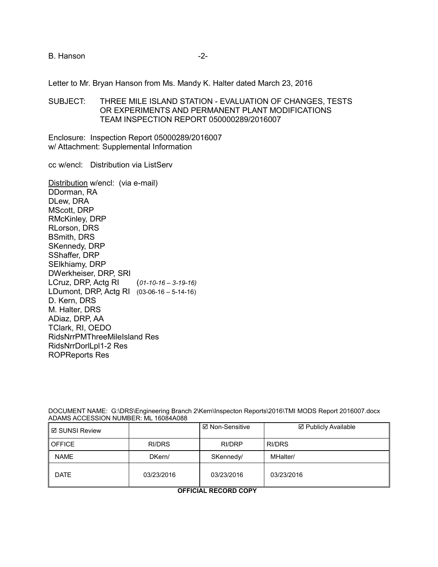### B. Hanson **B.** Hanson

Letter to Mr. Bryan Hanson from Ms. Mandy K. Halter dated March 23, 2016

SUBJECT: THREE MILE ISLAND STATION - EVALUATION OF CHANGES, TESTS OR EXPERIMENTS AND PERMANENT PLANT MODIFICATIONS TEAM INSPECTION REPORT 050000289/2016007

Enclosure: Inspection Report 05000289/2016007 w/ Attachment: Supplemental Information

cc w/encl: Distribution via ListServ

Distribution w/encl: (via e-mail) DDorman, RA DLew, DRA MScott, DRP RMcKinley, DRP RLorson, DRS BSmith, DRS SKennedy, DRP SShaffer, DRP SElkhiamy, DRP DWerkheiser, DRP, SRI LCruz, DRP, Actg RI (*01-10-16 – 3-19-16)* LDumont, DRP, Actg RI (03-06-16 – 5-14-16) D. Kern, DRS M. Halter, DRS ADiaz, DRP, AA TClark, RI, OEDO RidsNrrPMThreeMileIsland Res RidsNrrDorlLpl1-2 Res ROPReports Res

DOCUMENT NAME: G:\DRS\Engineering Branch 2\Kern\Inspecton Reports\2016\TMI MODS Report 2016007.docx ADAMS ACCESSION NUMBER: ML 16084A088

| II ☑ SUNSI Review |            | ⊠ Non-Sensitive | ☑ Publicly Available |
|-------------------|------------|-----------------|----------------------|
| <b>OFFICE</b>     | RI/DRS     | RI/DRP          | RI/DRS               |
| <b>NAME</b>       | DKern/     | SKennedy/       | MHalter/             |
| <b>DATE</b>       | 03/23/2016 | 03/23/2016      | 03/23/2016           |

**OFFICIAL RECORD COPY**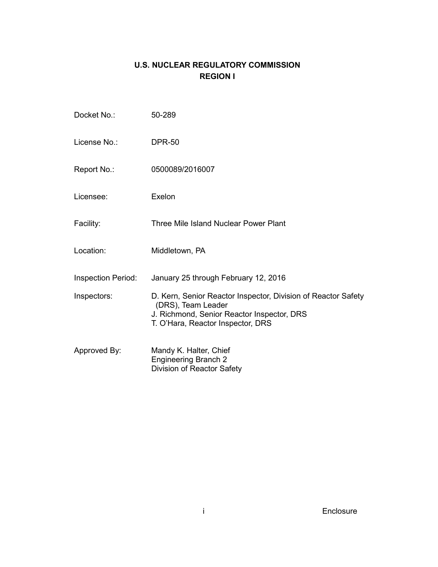# **U.S. NUCLEAR REGULATORY COMMISSION REGION I**

| Docket No.:               | 50-289                                                                                                                                                                 |
|---------------------------|------------------------------------------------------------------------------------------------------------------------------------------------------------------------|
| License No.:              | <b>DPR-50</b>                                                                                                                                                          |
| Report No.:               | 0500089/2016007                                                                                                                                                        |
| Licensee:                 | Exelon                                                                                                                                                                 |
| Facility:                 | Three Mile Island Nuclear Power Plant                                                                                                                                  |
| Location:                 | Middletown, PA                                                                                                                                                         |
| <b>Inspection Period:</b> | January 25 through February 12, 2016                                                                                                                                   |
| Inspectors:               | D. Kern, Senior Reactor Inspector, Division of Reactor Safety<br>(DRS), Team Leader<br>J. Richmond, Senior Reactor Inspector, DRS<br>T. O'Hara, Reactor Inspector, DRS |
| Approved By:              | Mandy K. Halter, Chief<br><b>Engineering Branch 2</b><br>Division of Reactor Safety                                                                                    |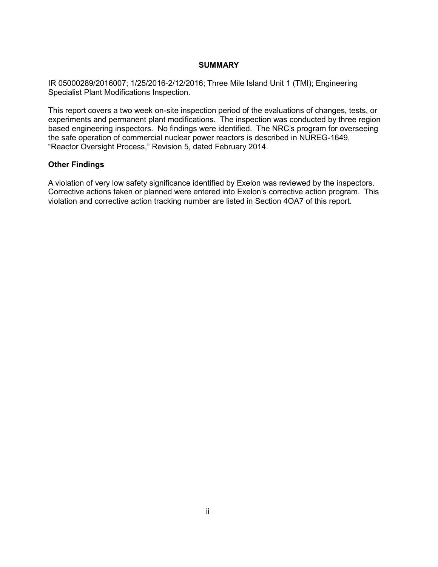## **SUMMARY**

IR 05000289/2016007; 1/25/2016-2/12/2016; Three Mile Island Unit 1 (TMI); Engineering Specialist Plant Modifications Inspection.

This report covers a two week on-site inspection period of the evaluations of changes, tests, or experiments and permanent plant modifications. The inspection was conducted by three region based engineering inspectors. No findings were identified. The NRC's program for overseeing the safe operation of commercial nuclear power reactors is described in NUREG-1649, "Reactor Oversight Process," Revision 5, dated February 2014.

## **Other Findings**

A violation of very low safety significance identified by Exelon was reviewed by the inspectors. Corrective actions taken or planned were entered into Exelon's corrective action program. This violation and corrective action tracking number are listed in Section 4OA7 of this report.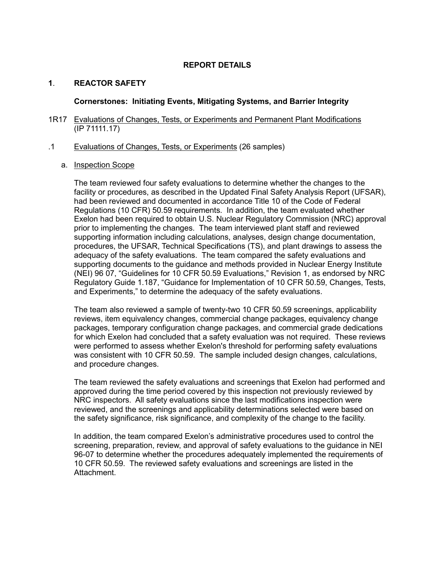## **REPORT DETAILS**

# **1**. **REACTOR SAFETY**

## **Cornerstones: Initiating Events, Mitigating Systems, and Barrier Integrity**

#### 1R17 Evaluations of Changes, Tests, or Experiments and Permanent Plant Modifications (IP 71111.17)

### .1 Evaluations of Changes, Tests, or Experiments (26 samples)

## a. Inspection Scope

The team reviewed four safety evaluations to determine whether the changes to the facility or procedures, as described in the Updated Final Safety Analysis Report (UFSAR), had been reviewed and documented in accordance Title 10 of the Code of Federal Regulations (10 CFR) 50.59 requirements. In addition, the team evaluated whether Exelon had been required to obtain U.S. Nuclear Regulatory Commission (NRC) approval prior to implementing the changes. The team interviewed plant staff and reviewed supporting information including calculations, analyses, design change documentation, procedures, the UFSAR, Technical Specifications (TS), and plant drawings to assess the adequacy of the safety evaluations. The team compared the safety evaluations and supporting documents to the guidance and methods provided in Nuclear Energy Institute (NEI) 96 07, "Guidelines for 10 CFR 50.59 Evaluations," Revision 1, as endorsed by NRC Regulatory Guide 1.187, "Guidance for Implementation of 10 CFR 50.59, Changes, Tests, and Experiments," to determine the adequacy of the safety evaluations.

The team also reviewed a sample of twenty-two 10 CFR 50.59 screenings, applicability reviews, item equivalency changes, commercial change packages, equivalency change packages, temporary configuration change packages, and commercial grade dedications for which Exelon had concluded that a safety evaluation was not required. These reviews were performed to assess whether Exelon's threshold for performing safety evaluations was consistent with 10 CFR 50.59. The sample included design changes, calculations, and procedure changes.

The team reviewed the safety evaluations and screenings that Exelon had performed and approved during the time period covered by this inspection not previously reviewed by NRC inspectors. All safety evaluations since the last modifications inspection were reviewed, and the screenings and applicability determinations selected were based on the safety significance, risk significance, and complexity of the change to the facility.

In addition, the team compared Exelon's administrative procedures used to control the screening, preparation, review, and approval of safety evaluations to the guidance in NEI 96-07 to determine whether the procedures adequately implemented the requirements of 10 CFR 50.59. The reviewed safety evaluations and screenings are listed in the Attachment.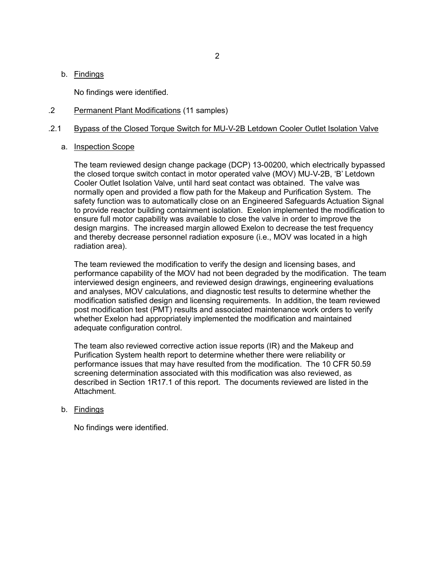## b. Findings

No findings were identified.

## .2 Permanent Plant Modifications (11 samples)

## .2.1 Bypass of the Closed Torque Switch for MU-V-2B Letdown Cooler Outlet Isolation Valve

## a. Inspection Scope

The team reviewed design change package (DCP) 13-00200, which electrically bypassed the closed torque switch contact in motor operated valve (MOV) MU-V-2B, 'B' Letdown Cooler Outlet Isolation Valve, until hard seat contact was obtained. The valve was normally open and provided a flow path for the Makeup and Purification System. The safety function was to automatically close on an Engineered Safeguards Actuation Signal to provide reactor building containment isolation. Exelon implemented the modification to ensure full motor capability was available to close the valve in order to improve the design margins. The increased margin allowed Exelon to decrease the test frequency and thereby decrease personnel radiation exposure (i.e., MOV was located in a high radiation area).

The team reviewed the modification to verify the design and licensing bases, and performance capability of the MOV had not been degraded by the modification. The team interviewed design engineers, and reviewed design drawings, engineering evaluations and analyses, MOV calculations, and diagnostic test results to determine whether the modification satisfied design and licensing requirements. In addition, the team reviewed post modification test (PMT) results and associated maintenance work orders to verify whether Exelon had appropriately implemented the modification and maintained adequate configuration control.

The team also reviewed corrective action issue reports (IR) and the Makeup and Purification System health report to determine whether there were reliability or performance issues that may have resulted from the modification. The 10 CFR 50.59 screening determination associated with this modification was also reviewed, as described in Section 1R17.1 of this report. The documents reviewed are listed in the Attachment.

## b. Findings

No findings were identified.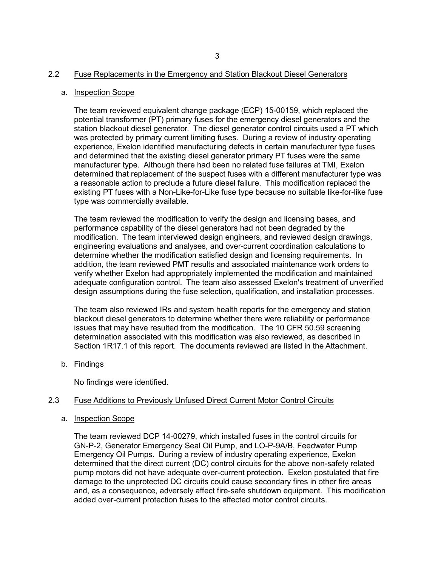#### 2.2 Fuse Replacements in the Emergency and Station Blackout Diesel Generators

#### a. Inspection Scope

The team reviewed equivalent change package (ECP) 15-00159, which replaced the potential transformer (PT) primary fuses for the emergency diesel generators and the station blackout diesel generator. The diesel generator control circuits used a PT which was protected by primary current limiting fuses. During a review of industry operating experience, Exelon identified manufacturing defects in certain manufacturer type fuses and determined that the existing diesel generator primary PT fuses were the same manufacturer type. Although there had been no related fuse failures at TMI, Exelon determined that replacement of the suspect fuses with a different manufacturer type was a reasonable action to preclude a future diesel failure. This modification replaced the existing PT fuses with a Non-Like-for-Like fuse type because no suitable like-for-like fuse type was commercially available.

The team reviewed the modification to verify the design and licensing bases, and performance capability of the diesel generators had not been degraded by the modification. The team interviewed design engineers, and reviewed design drawings, engineering evaluations and analyses, and over-current coordination calculations to determine whether the modification satisfied design and licensing requirements. In addition, the team reviewed PMT results and associated maintenance work orders to verify whether Exelon had appropriately implemented the modification and maintained adequate configuration control. The team also assessed Exelon's treatment of unverified design assumptions during the fuse selection, qualification, and installation processes.

The team also reviewed IRs and system health reports for the emergency and station blackout diesel generators to determine whether there were reliability or performance issues that may have resulted from the modification. The 10 CFR 50.59 screening determination associated with this modification was also reviewed, as described in Section 1R17.1 of this report. The documents reviewed are listed in the Attachment.

b. Findings

No findings were identified.

#### 2.3 Fuse Additions to Previously Unfused Direct Current Motor Control Circuits

#### a. Inspection Scope

The team reviewed DCP 14-00279, which installed fuses in the control circuits for GN-P-2, Generator Emergency Seal Oil Pump, and LO-P-9A/B, Feedwater Pump Emergency Oil Pumps. During a review of industry operating experience, Exelon determined that the direct current (DC) control circuits for the above non-safety related pump motors did not have adequate over-current protection. Exelon postulated that fire damage to the unprotected DC circuits could cause secondary fires in other fire areas and, as a consequence, adversely affect fire-safe shutdown equipment. This modification added over-current protection fuses to the affected motor control circuits.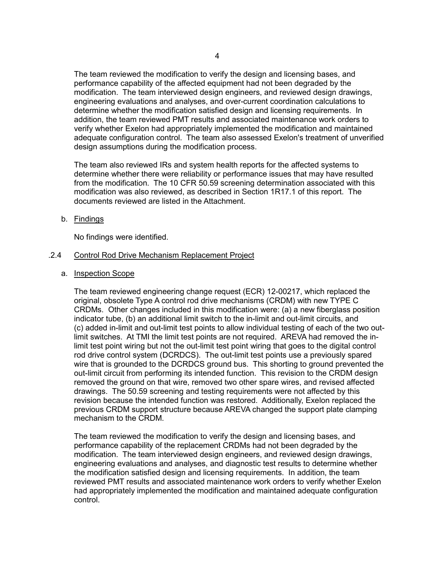The team reviewed the modification to verify the design and licensing bases, and performance capability of the affected equipment had not been degraded by the modification. The team interviewed design engineers, and reviewed design drawings, engineering evaluations and analyses, and over-current coordination calculations to determine whether the modification satisfied design and licensing requirements. In addition, the team reviewed PMT results and associated maintenance work orders to verify whether Exelon had appropriately implemented the modification and maintained adequate configuration control. The team also assessed Exelon's treatment of unverified design assumptions during the modification process.

The team also reviewed IRs and system health reports for the affected systems to determine whether there were reliability or performance issues that may have resulted from the modification. The 10 CFR 50.59 screening determination associated with this modification was also reviewed, as described in Section 1R17.1 of this report. The documents reviewed are listed in the Attachment.

b. Findings

No findings were identified.

## .2.4 Control Rod Drive Mechanism Replacement Project

a. Inspection Scope

The team reviewed engineering change request (ECR) 12-00217, which replaced the original, obsolete Type A control rod drive mechanisms (CRDM) with new TYPE C CRDMs. Other changes included in this modification were: (a) a new fiberglass position indicator tube, (b) an additional limit switch to the in-limit and out-limit circuits, and (c) added in-limit and out-limit test points to allow individual testing of each of the two outlimit switches. At TMI the limit test points are not required. AREVA had removed the inlimit test point wiring but not the out-limit test point wiring that goes to the digital control rod drive control system (DCRDCS). The out-limit test points use a previously spared wire that is grounded to the DCRDCS ground bus. This shorting to ground prevented the out-limit circuit from performing its intended function. This revision to the CRDM design removed the ground on that wire, removed two other spare wires, and revised affected drawings. The 50.59 screening and testing requirements were not affected by this revision because the intended function was restored. Additionally, Exelon replaced the previous CRDM support structure because AREVA changed the support plate clamping mechanism to the CRDM.

The team reviewed the modification to verify the design and licensing bases, and performance capability of the replacement CRDMs had not been degraded by the modification. The team interviewed design engineers, and reviewed design drawings, engineering evaluations and analyses, and diagnostic test results to determine whether the modification satisfied design and licensing requirements. In addition, the team reviewed PMT results and associated maintenance work orders to verify whether Exelon had appropriately implemented the modification and maintained adequate configuration control.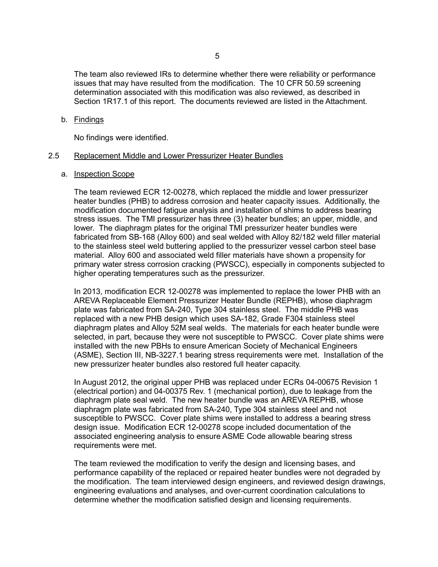The team also reviewed IRs to determine whether there were reliability or performance issues that may have resulted from the modification. The 10 CFR 50.59 screening determination associated with this modification was also reviewed, as described in Section 1R17.1 of this report. The documents reviewed are listed in the Attachment.

#### b. Findings

No findings were identified.

#### 2.5 Replacement Middle and Lower Pressurizer Heater Bundles

#### a. Inspection Scope

The team reviewed ECR 12-00278, which replaced the middle and lower pressurizer heater bundles (PHB) to address corrosion and heater capacity issues. Additionally, the modification documented fatigue analysis and installation of shims to address bearing stress issues. The TMI pressurizer has three (3) heater bundles; an upper, middle, and lower. The diaphragm plates for the original TMI pressurizer heater bundles were fabricated from SB-168 (Alloy 600) and seal welded with Alloy 82/182 weld filler material to the stainless steel weld buttering applied to the pressurizer vessel carbon steel base material. Alloy 600 and associated weld filler materials have shown a propensity for primary water stress corrosion cracking (PWSCC), especially in components subjected to higher operating temperatures such as the pressurizer.

In 2013, modification ECR 12-00278 was implemented to replace the lower PHB with an AREVA Replaceable Element Pressurizer Heater Bundle (REPHB), whose diaphragm plate was fabricated from SA-240, Type 304 stainless steel. The middle PHB was replaced with a new PHB design which uses SA-182, Grade F304 stainless steel diaphragm plates and Alloy 52M seal welds. The materials for each heater bundle were selected, in part, because they were not susceptible to PWSCC. Cover plate shims were installed with the new PBHs to ensure American Society of Mechanical Engineers (ASME), Section III, NB-3227.1 bearing stress requirements were met. Installation of the new pressurizer heater bundles also restored full heater capacity.

In August 2012, the original upper PHB was replaced under ECRs 04-00675 Revision 1 (electrical portion) and 04-00375 Rev. 1 (mechanical portion), due to leakage from the diaphragm plate seal weld. The new heater bundle was an AREVA REPHB, whose diaphragm plate was fabricated from SA-240, Type 304 stainless steel and not susceptible to PWSCC. Cover plate shims were installed to address a bearing stress design issue. Modification ECR 12-00278 scope included documentation of the associated engineering analysis to ensure ASME Code allowable bearing stress requirements were met.

The team reviewed the modification to verify the design and licensing bases, and performance capability of the replaced or repaired heater bundles were not degraded by the modification. The team interviewed design engineers, and reviewed design drawings, engineering evaluations and analyses, and over-current coordination calculations to determine whether the modification satisfied design and licensing requirements.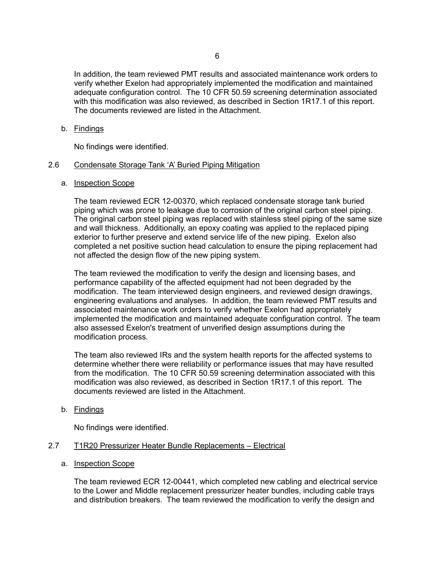In addition, the team reviewed PMT results and associated maintenance work orders to verify whether Exelon had appropriately implemented the modification and maintained adequate configuration control. The 10 CFR 50.59 screening determination associated with this modification was also reviewed, as described in Section 1R17.1 of this report. The documents reviewed are listed in the Attachment.

## b. Findings

No findings were identified.

## 2.6 Condensate Storage Tank 'A' Buried Piping Mitigation

## a. Inspection Scope

The team reviewed ECR 12-00370, which replaced condensate storage tank buried piping which was prone to leakage due to corrosion of the original carbon steel piping. The original carbon steel piping was replaced with stainless steel piping of the same size and wall thickness. Additionally, an epoxy coating was applied to the replaced piping exterior to further preserve and extend service life of the new piping. Exelon also completed a net positive suction head calculation to ensure the piping replacement had not affected the design flow of the new piping system.

The team reviewed the modification to verify the design and licensing bases, and performance capability of the affected equipment had not been degraded by the modification. The team interviewed design engineers, and reviewed design drawings, engineering evaluations and analyses. In addition, the team reviewed PMT results and associated maintenance work orders to verify whether Exelon had appropriately implemented the modification and maintained adequate configuration control. The team also assessed Exelon's treatment of unverified design assumptions during the modification process.

The team also reviewed IRs and the system health reports for the affected systems to determine whether there were reliability or performance issues that may have resulted from the modification. The 10 CFR 50.59 screening determination associated with this modification was also reviewed, as described in Section 1R17.1 of this report. The documents reviewed are listed in the Attachment.

# b. Findings

No findings were identified.

# 2.7 T1R20 Pressurizer Heater Bundle Replacements – Electrical

## a. Inspection Scope

The team reviewed ECR 12-00441, which completed new cabling and electrical service to the Lower and Middle replacement pressurizer heater bundles, including cable trays and distribution breakers. The team reviewed the modification to verify the design and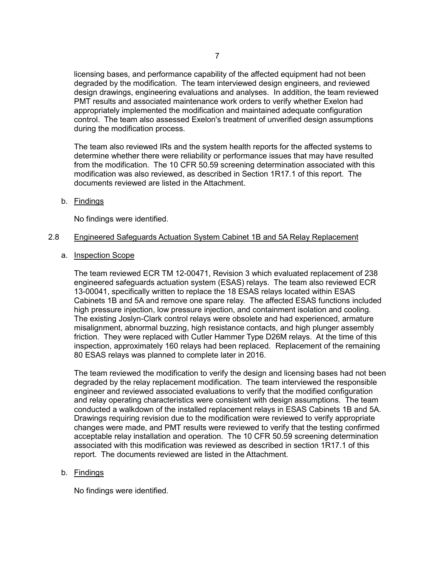licensing bases, and performance capability of the affected equipment had not been degraded by the modification. The team interviewed design engineers, and reviewed design drawings, engineering evaluations and analyses. In addition, the team reviewed PMT results and associated maintenance work orders to verify whether Exelon had appropriately implemented the modification and maintained adequate configuration control. The team also assessed Exelon's treatment of unverified design assumptions during the modification process.

The team also reviewed IRs and the system health reports for the affected systems to determine whether there were reliability or performance issues that may have resulted from the modification. The 10 CFR 50.59 screening determination associated with this modification was also reviewed, as described in Section 1R17.1 of this report. The documents reviewed are listed in the Attachment.

b. Findings

No findings were identified.

#### 2.8 Engineered Safeguards Actuation System Cabinet 1B and 5A Relay Replacement

a. Inspection Scope

The team reviewed ECR TM 12-00471, Revision 3 which evaluated replacement of 238 engineered safeguards actuation system (ESAS) relays. The team also reviewed ECR 13-00041, specifically written to replace the 18 ESAS relays located within ESAS Cabinets 1B and 5A and remove one spare relay. The affected ESAS functions included high pressure injection, low pressure injection, and containment isolation and cooling. The existing Joslyn-Clark control relays were obsolete and had experienced, armature misalignment, abnormal buzzing, high resistance contacts, and high plunger assembly friction. They were replaced with Cutler Hammer Type D26M relays. At the time of this inspection, approximately 160 relays had been replaced. Replacement of the remaining 80 ESAS relays was planned to complete later in 2016.

The team reviewed the modification to verify the design and licensing bases had not been degraded by the relay replacement modification. The team interviewed the responsible engineer and reviewed associated evaluations to verify that the modified configuration and relay operating characteristics were consistent with design assumptions. The team conducted a walkdown of the installed replacement relays in ESAS Cabinets 1B and 5A. Drawings requiring revision due to the modification were reviewed to verify appropriate changes were made, and PMT results were reviewed to verify that the testing confirmed acceptable relay installation and operation. The 10 CFR 50.59 screening determination associated with this modification was reviewed as described in section 1R17.1 of this report. The documents reviewed are listed in the Attachment.

#### b. Findings

No findings were identified.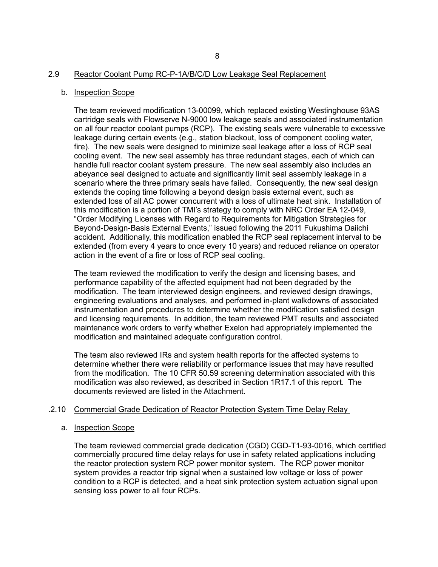#### 2.9 Reactor Coolant Pump RC-P-1A/B/C/D Low Leakage Seal Replacement

#### b. Inspection Scope

The team reviewed modification 13-00099, which replaced existing Westinghouse 93AS cartridge seals with Flowserve N-9000 low leakage seals and associated instrumentation on all four reactor coolant pumps (RCP). The existing seals were vulnerable to excessive leakage during certain events (e.g., station blackout, loss of component cooling water, fire). The new seals were designed to minimize seal leakage after a loss of RCP seal cooling event. The new seal assembly has three redundant stages, each of which can handle full reactor coolant system pressure. The new seal assembly also includes an abeyance seal designed to actuate and significantly limit seal assembly leakage in a scenario where the three primary seals have failed. Consequently, the new seal design extends the coping time following a beyond design basis external event, such as extended loss of all AC power concurrent with a loss of ultimate heat sink. Installation of this modification is a portion of TMI's strategy to comply with NRC Order EA 12-049, "Order Modifying Licenses with Regard to Requirements for Mitigation Strategies for Beyond-Design-Basis External Events," issued following the 2011 Fukushima Daiichi accident. Additionally, this modification enabled the RCP seal replacement interval to be extended (from every 4 years to once every 10 years) and reduced reliance on operator action in the event of a fire or loss of RCP seal cooling.

The team reviewed the modification to verify the design and licensing bases, and performance capability of the affected equipment had not been degraded by the modification. The team interviewed design engineers, and reviewed design drawings, engineering evaluations and analyses, and performed in-plant walkdowns of associated instrumentation and procedures to determine whether the modification satisfied design and licensing requirements. In addition, the team reviewed PMT results and associated maintenance work orders to verify whether Exelon had appropriately implemented the modification and maintained adequate configuration control.

The team also reviewed IRs and system health reports for the affected systems to determine whether there were reliability or performance issues that may have resulted from the modification. The 10 CFR 50.59 screening determination associated with this modification was also reviewed, as described in Section 1R17.1 of this report. The documents reviewed are listed in the Attachment.

## .2.10 Commercial Grade Dedication of Reactor Protection System Time Delay Relay

## a. Inspection Scope

The team reviewed commercial grade dedication (CGD) CGD-T1-93-0016, which certified commercially procured time delay relays for use in safety related applications including the reactor protection system RCP power monitor system. The RCP power monitor system provides a reactor trip signal when a sustained low voltage or loss of power condition to a RCP is detected, and a heat sink protection system actuation signal upon sensing loss power to all four RCPs.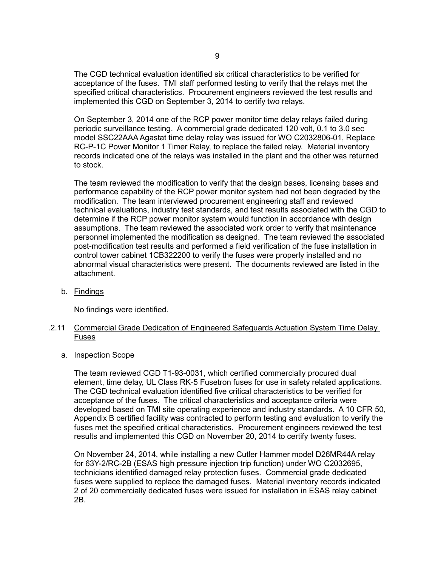The CGD technical evaluation identified six critical characteristics to be verified for acceptance of the fuses. TMI staff performed testing to verify that the relays met the specified critical characteristics. Procurement engineers reviewed the test results and implemented this CGD on September 3, 2014 to certify two relays.

On September 3, 2014 one of the RCP power monitor time delay relays failed during periodic surveillance testing. A commercial grade dedicated 120 volt, 0.1 to 3.0 sec model SSC22AAA Agastat time delay relay was issued for WO C2032806-01, Replace RC-P-1C Power Monitor 1 Timer Relay, to replace the failed relay. Material inventory records indicated one of the relays was installed in the plant and the other was returned to stock.

The team reviewed the modification to verify that the design bases, licensing bases and performance capability of the RCP power monitor system had not been degraded by the modification. The team interviewed procurement engineering staff and reviewed technical evaluations, industry test standards, and test results associated with the CGD to determine if the RCP power monitor system would function in accordance with design assumptions. The team reviewed the associated work order to verify that maintenance personnel implemented the modification as designed. The team reviewed the associated post-modification test results and performed a field verification of the fuse installation in control tower cabinet 1CB322200 to verify the fuses were properly installed and no abnormal visual characteristics were present. The documents reviewed are listed in the attachment.

b. Findings

No findings were identified.

## .2.11 Commercial Grade Dedication of Engineered Safeguards Actuation System Time Delay Fuses

a. Inspection Scope

The team reviewed CGD T1-93-0031, which certified commercially procured dual element, time delay, UL Class RK-5 Fusetron fuses for use in safety related applications. The CGD technical evaluation identified five critical characteristics to be verified for acceptance of the fuses. The critical characteristics and acceptance criteria were developed based on TMI site operating experience and industry standards. A 10 CFR 50, Appendix B certified facility was contracted to perform testing and evaluation to verify the fuses met the specified critical characteristics. Procurement engineers reviewed the test results and implemented this CGD on November 20, 2014 to certify twenty fuses.

On November 24, 2014, while installing a new Cutler Hammer model D26MR44A relay for 63Y-2/RC-2B (ESAS high pressure injection trip function) under WO C2032695, technicians identified damaged relay protection fuses. Commercial grade dedicated fuses were supplied to replace the damaged fuses. Material inventory records indicated 2 of 20 commercially dedicated fuses were issued for installation in ESAS relay cabinet 2B.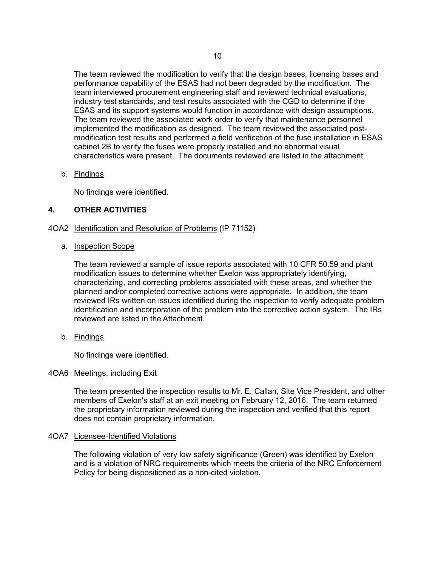The team reviewed the modification to verify that the design bases, licensing bases and performance capability of the ESAS had not been degraded by the modification. The team interviewed procurement engineering staff and reviewed technical evaluations, industry test standards, and test results associated with the CGD to determine if the ESAS and its support systems would function in accordance with design assumptions. The team reviewed the associated work order to verify that maintenance personnel implemented the modification as designed. The team reviewed the associated postmodification test results and performed a field verification of the fuse installation in ESAS cabinet 2B to verify the fuses were properly installed and no abnormal visual characteristics were present. The documents reviewed are listed in the attachment

## b. Findings

No findings were identified.

# **4. OTHER ACTIVITIES**

## 4OA2 Identification and Resolution of Problems (IP 71152)

## a. Inspection Scope

The team reviewed a sample of issue reports associated with 10 CFR 50.59 and plant modification issues to determine whether Exelon was appropriately identifying, characterizing, and correcting problems associated with these areas, and whether the planned and/or completed corrective actions were appropriate. In addition, the team reviewed IRs written on issues identified during the inspection to verify adequate problem identification and incorporation of the problem into the corrective action system. The IRs reviewed are listed in the Attachment.

b. Findings

No findings were identified.

## 4OA6 Meetings, including Exit

The team presented the inspection results to Mr. E. Callan, Site Vice President, and other members of Exelon's staff at an exit meeting on February 12, 2016. The team returned the proprietary information reviewed during the inspection and verified that this report does not contain proprietary information.

## 4OA7 Licensee-Identified Violations

The following violation of very low safety significance (Green) was identified by Exelon and is a violation of NRC requirements which meets the criteria of the NRC Enforcement Policy for being dispositioned as a non-cited violation.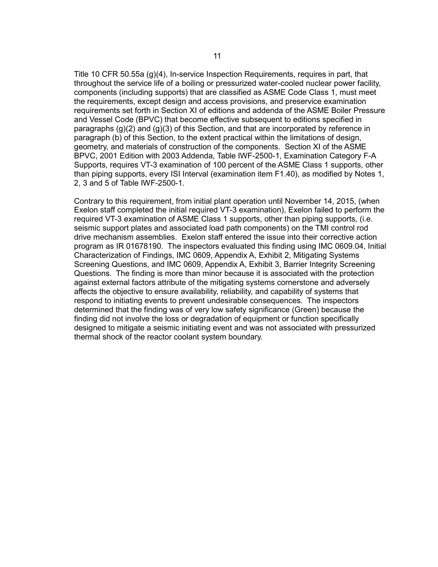Title 10 CFR 50.55a (g)(4), In-service Inspection Requirements, requires in part, that throughout the service life of a boiling or pressurized water-cooled nuclear power facility, components (including supports) that are classified as ASME Code Class 1, must meet the requirements, except design and access provisions, and preservice examination requirements set forth in Section XI of editions and addenda of the ASME Boiler Pressure and Vessel Code (BPVC) that become effective subsequent to editions specified in paragraphs (g)(2) and (g)(3) of this Section, and that are incorporated by reference in paragraph (b) of this Section, to the extent practical within the limitations of design, geometry, and materials of construction of the components. Section XI of the ASME BPVC, 2001 Edition with 2003 Addenda, Table IWF-2500-1, Examination Category F-A Supports, requires VT-3 examination of 100 percent of the ASME Class 1 supports, other than piping supports, every ISI Interval (examination item F1.40), as modified by Notes 1, 2, 3 and 5 of Table IWF-2500-1.

Contrary to this requirement, from initial plant operation until November 14, 2015, (when Exelon staff completed the initial required VT-3 examination), Exelon failed to perform the required VT-3 examination of ASME Class 1 supports, other than piping supports, (i.e. seismic support plates and associated load path components) on the TMI control rod drive mechanism assemblies. Exelon staff entered the issue into their corrective action program as IR 01678190. The inspectors evaluated this finding using IMC 0609.04, Initial Characterization of Findings, IMC 0609, Appendix A, Exhibit 2, Mitigating Systems Screening Questions, and IMC 0609, Appendix A, Exhibit 3, Barrier Integrity Screening Questions. The finding is more than minor because it is associated with the protection against external factors attribute of the mitigating systems cornerstone and adversely affects the objective to ensure availability, reliability, and capability of systems that respond to initiating events to prevent undesirable consequences. The inspectors determined that the finding was of very low safety significance (Green) because the finding did not involve the loss or degradation of equipment or function specifically designed to mitigate a seismic initiating event and was not associated with pressurized thermal shock of the reactor coolant system boundary.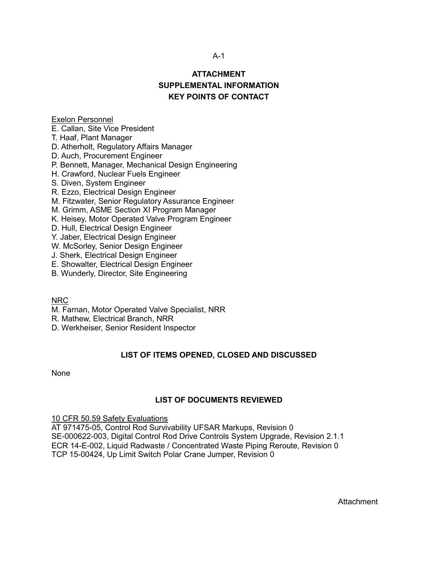## A-1

# **ATTACHMENT SUPPLEMENTAL INFORMATION KEY POINTS OF CONTACT**

# Exelon Personnel

E. Callan, Site Vice President

T. Haaf, Plant Manager

D. Atherholt, Regulatory Affairs Manager

D. Auch, Procurement Engineer

P. Bennett, Manager, Mechanical Design Engineering

H. Crawford, Nuclear Fuels Engineer

S. Diven, System Engineer

R. Ezzo, Electrical Design Engineer

M. Fitzwater, Senior Regulatory Assurance Engineer

M. Grimm, ASME Section XI Program Manager

K. Heisey, Motor Operated Valve Program Engineer

D. Hull, Electrical Design Engineer

Y. Jaber, Electrical Design Engineer

W. McSorley, Senior Design Engineer

J. Sherk, Electrical Design Engineer

E. Showalter, Electrical Design Engineer

B. Wunderly, Director, Site Engineering

NRC

M. Farnan, Motor Operated Valve Specialist, NRR

R. Mathew, Electrical Branch, NRR

D. Werkheiser, Senior Resident Inspector

# **LIST OF ITEMS OPENED, CLOSED AND DISCUSSED**

None

# **LIST OF DOCUMENTS REVIEWED**

10 CFR 50.59 Safety Evaluations

AT 971475-05, Control Rod Survivability UFSAR Markups, Revision 0 SE-000622-003, Digital Control Rod Drive Controls System Upgrade, Revision 2.1.1 ECR 14-E-002, Liquid Radwaste / Concentrated Waste Piping Reroute, Revision 0 TCP 15-00424, Up Limit Switch Polar Crane Jumper, Revision 0

**Attachment**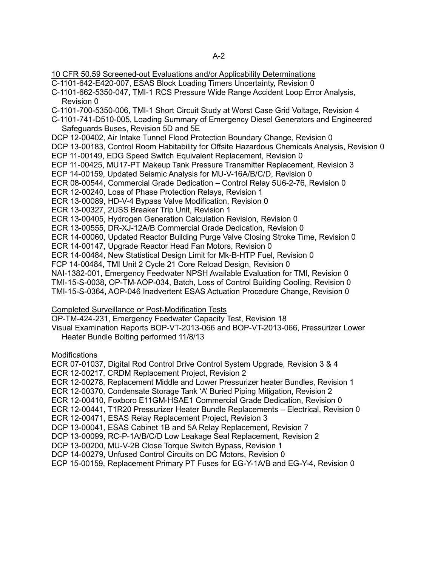10 CFR 50.59 Screened-out Evaluations and/or Applicability Determinations

C-1101-642-E420-007, ESAS Block Loading Timers Uncertainty, Revision 0

C-1101-662-5350-047, TMI-1 RCS Pressure Wide Range Accident Loop Error Analysis, Revision 0

C-1101-700-5350-006, TMI-1 Short Circuit Study at Worst Case Grid Voltage, Revision 4

C-1101-741-D510-005, Loading Summary of Emergency Diesel Generators and Engineered Safeguards Buses, Revision 5D and 5E

DCP 12-00402, Air Intake Tunnel Flood Protection Boundary Change, Revision 0

DCP 13-00183, Control Room Habitability for Offsite Hazardous Chemicals Analysis, Revision 0

ECP 11-00149, EDG Speed Switch Equivalent Replacement, Revision 0

ECP 11-00425, MU17-PT Makeup Tank Pressure Transmitter Replacement, Revision 3

ECP 14-00159, Updated Seismic Analysis for MU-V-16A/B/C/D, Revision 0

ECR 08-00544, Commercial Grade Dedication – Control Relay 5U6-2-76, Revision 0

ECR 12-00240, Loss of Phase Protection Relays, Revision 1

ECR 13-00089, HD-V-4 Bypass Valve Modification, Revision 0

ECR 13-00327, 2USS Breaker Trip Unit, Revision 1

ECR 13-00405, Hydrogen Generation Calculation Revision, Revision 0

ECR 13-00555, DR-XJ-12A/B Commercial Grade Dedication, Revision 0

ECR 14-00060, Updated Reactor Building Purge Valve Closing Stroke Time, Revision 0

ECR 14-00147, Upgrade Reactor Head Fan Motors, Revision 0

ECR 14-00484, New Statistical Design Limit for Mk-B-HTP Fuel, Revision 0

FCP 14-00484, TMI Unit 2 Cycle 21 Core Reload Design, Revision 0

NAI-1382-001, Emergency Feedwater NPSH Available Evaluation for TMI, Revision 0

TMI-15-S-0038, OP-TM-AOP-034, Batch, Loss of Control Building Cooling, Revision 0

TMI-15-S-0364, AOP-046 Inadvertent ESAS Actuation Procedure Change, Revision 0

## Completed Surveillance or Post-Modification Tests

OP-TM-424-231, Emergency Feedwater Capacity Test, Revision 18

Visual Examination Reports BOP-VT-2013-066 and BOP-VT-2013-066, Pressurizer Lower Heater Bundle Bolting performed 11/8/13

**Modifications** 

ECR 07-01037, Digital Rod Control Drive Control System Upgrade, Revision 3 & 4

ECR 12-00217, CRDM Replacement Project, Revision 2

ECR 12-00278, Replacement Middle and Lower Pressurizer heater Bundles, Revision 1

ECR 12-00370, Condensate Storage Tank 'A' Buried Piping Mitigation, Revision 2

ECR 12-00410, Foxboro E11GM-HSAE1 Commercial Grade Dedication, Revision 0

ECR 12-00441, T1R20 Pressurizer Heater Bundle Replacements – Electrical, Revision 0

ECR 12-00471, ESAS Relay Replacement Project, Revision 3

DCP 13-00041, ESAS Cabinet 1B and 5A Relay Replacement, Revision 7

DCP 13-00099, RC-P-1A/B/C/D Low Leakage Seal Replacement, Revision 2

DCP 13-00200, MU-V-2B Close Torque Switch Bypass, Revision 1

DCP 14-00279, Unfused Control Circuits on DC Motors, Revision 0

ECP 15-00159, Replacement Primary PT Fuses for EG-Y-1A/B and EG-Y-4, Revision 0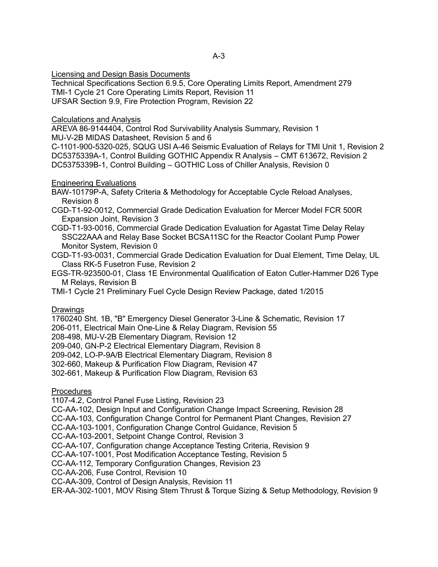Licensing and Design Basis Documents

Technical Specifications Section 6.9.5, Core Operating Limits Report, Amendment 279 TMI-1 Cycle 21 Core Operating Limits Report, Revision 11 UFSAR Section 9.9, Fire Protection Program, Revision 22

## Calculations and Analysis

AREVA 86-9144404, Control Rod Survivability Analysis Summary, Revision 1 MU-V-2B MIDAS Datasheet, Revision 5 and 6

C-1101-900-5320-025, SQUG USI A-46 Seismic Evaluation of Relays for TMI Unit 1, Revision 2 DC5375339A-1, Control Building GOTHIC Appendix R Analysis – CMT 613672, Revision 2 DC5375339B-1, Control Building – GOTHIC Loss of Chiller Analysis, Revision 0

# Engineering Evaluations

BAW-10179P-A, Safety Criteria & Methodology for Acceptable Cycle Reload Analyses, Revision 8

- CGD-T1-92-0012, Commercial Grade Dedication Evaluation for Mercer Model FCR 500R Expansion Joint, Revision 3
- CGD-T1-93-0016, Commercial Grade Dedication Evaluation for Agastat Time Delay Relay SSC22AAA and Relay Base Socket BCSA11SC for the Reactor Coolant Pump Power Monitor System, Revision 0

CGD-T1-93-0031, Commercial Grade Dedication Evaluation for Dual Element, Time Delay, UL Class RK-5 Fusetron Fuse, Revision 2

EGS-TR-923500-01, Class 1E Environmental Qualification of Eaton Cutler-Hammer D26 Type M Relays, Revision B

TMI-1 Cycle 21 Preliminary Fuel Cycle Design Review Package, dated 1/2015

## Drawings

1760240 Sht. 1B, "B" Emergency Diesel Generator 3-Line & Schematic, Revision 17

206-011, Electrical Main One-Line & Relay Diagram, Revision 55

208-498, MU-V-2B Elementary Diagram, Revision 12

209-040, GN-P-2 Electrical Elementary Diagram, Revision 8

209-042, LO-P-9A/B Electrical Elementary Diagram, Revision 8

302-660, Makeup & Purification Flow Diagram, Revision 47

302-661, Makeup & Purification Flow Diagram, Revision 63

# **Procedures**

1107-4.2, Control Panel Fuse Listing, Revision 23

CC-AA-102, Design Input and Configuration Change Impact Screening, Revision 28

CC-AA-103, Configuration Change Control for Permanent Plant Changes, Revision 27

CC-AA-103-1001, Configuration Change Control Guidance, Revision 5

CC-AA-103-2001, Setpoint Change Control, Revision 3

CC-AA-107, Configuration change Acceptance Testing Criteria, Revision 9

CC-AA-107-1001, Post Modification Acceptance Testing, Revision 5

CC-AA-112, Temporary Configuration Changes, Revision 23

CC-AA-206, Fuse Control, Revision 10

CC-AA-309, Control of Design Analysis, Revision 11

ER-AA-302-1001, MOV Rising Stem Thrust & Torque Sizing & Setup Methodology, Revision 9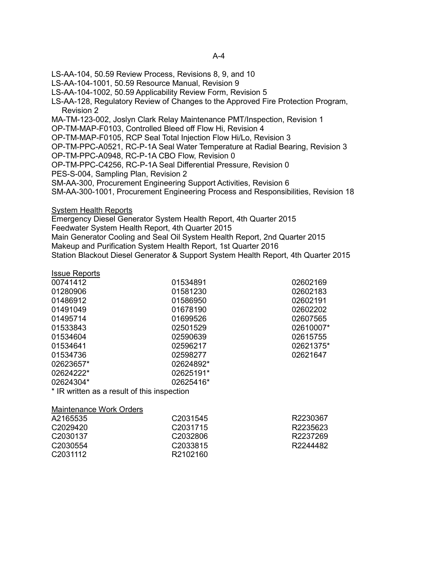LS-AA-104, 50.59 Review Process, Revisions 8, 9, and 10

LS-AA-104-1001, 50.59 Resource Manual, Revision 9

LS-AA-104-1002, 50.59 Applicability Review Form, Revision 5

LS-AA-128, Regulatory Review of Changes to the Approved Fire Protection Program, Revision 2

MA-TM-123-002, Joslyn Clark Relay Maintenance PMT/Inspection, Revision 1

OP-TM-MAP-F0103, Controlled Bleed off Flow Hi, Revision 4

OP-TM-MAP-F0105, RCP Seal Total Injection Flow Hi/Lo, Revision 3

OP-TM-PPC-A0521, RC-P-1A Seal Water Temperature at Radial Bearing, Revision 3

OP-TM-PPC-A0948, RC-P-1A CBO Flow, Revision 0

OP-TM-PPC-C4256, RC-P-1A Seal Differential Pressure, Revision 0

PES-S-004, Sampling Plan, Revision 2

SM-AA-300, Procurement Engineering Support Activities, Revision 6

SM-AA-300-1001, Procurement Engineering Process and Responsibilities, Revision 18

System Health Reports

Emergency Diesel Generator System Health Report, 4th Quarter 2015

Feedwater System Health Report, 4th Quarter 2015

Main Generator Cooling and Seal Oil System Health Report, 2nd Quarter 2015 Makeup and Purification System Health Report, 1st Quarter 2016

Station Blackout Diesel Generator & Support System Health Report, 4th Quarter 2015

| <b>Issue Reports</b>                        |           |           |
|---------------------------------------------|-----------|-----------|
| 00741412                                    | 01534891  | 02602169  |
| 01280906                                    | 01581230  | 02602183  |
| 01486912                                    | 01586950  | 02602191  |
| 01491049                                    | 01678190  | 02602202  |
| 01495714                                    | 01699526  | 02607565  |
| 01533843                                    | 02501529  | 02610007* |
| 01534604                                    | 02590639  | 02615755  |
| 01534641                                    | 02596217  | 02621375* |
| 01534736                                    | 02598277  | 02621647  |
| 02623657*                                   | 02624892* |           |
| 02624222*                                   | 02625191* |           |
| 02624304*                                   | 02625416* |           |
| * IR written as a result of this inspection |           |           |
|                                             |           |           |

Maintenance Work Orders

| A2165535             | C2031545             | R2230367 |
|----------------------|----------------------|----------|
| C2029420             | C <sub>2031715</sub> | R2235623 |
| C <sub>2030137</sub> | C <sub>2032806</sub> | R2237269 |
| C <sub>2030554</sub> | C <sub>2033815</sub> | R2244482 |
| C <sub>2031112</sub> | R2102160             |          |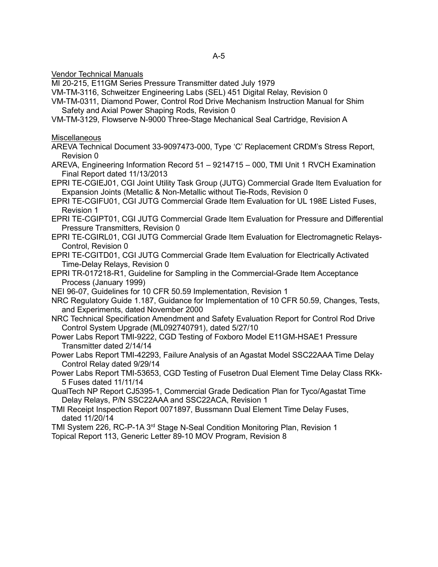Vendor Technical Manuals

MI 20-215, E11GM Series Pressure Transmitter dated July 1979

VM-TM-3116, Schweitzer Engineering Labs (SEL) 451 Digital Relay, Revision 0

VM-TM-0311, Diamond Power, Control Rod Drive Mechanism Instruction Manual for Shim Safety and Axial Power Shaping Rods, Revision 0

VM-TM-3129, Flowserve N-9000 Three-Stage Mechanical Seal Cartridge, Revision A

Miscellaneous

AREVA Technical Document 33-9097473-000, Type 'C' Replacement CRDM's Stress Report, Revision 0

AREVA, Engineering Information Record 51 – 9214715 – 000, TMI Unit 1 RVCH Examination Final Report dated 11/13/2013

EPRI TE-CGIEJ01, CGI Joint Utility Task Group (JUTG) Commercial Grade Item Evaluation for Expansion Joints (Metallic & Non-Metallic without Tie-Rods, Revision 0

EPRI TE-CGIFU01, CGI JUTG Commercial Grade Item Evaluation for UL 198E Listed Fuses, Revision 1

EPRI TE-CGIPT01, CGI JUTG Commercial Grade Item Evaluation for Pressure and Differential Pressure Transmitters, Revision 0

EPRI TE-CGIRL01, CGI JUTG Commercial Grade Item Evaluation for Electromagnetic Relays-Control, Revision 0

EPRI TE-CGITD01, CGI JUTG Commercial Grade Item Evaluation for Electrically Activated Time-Delay Relays, Revision 0

EPRI TR-017218-R1, Guideline for Sampling in the Commercial-Grade Item Acceptance Process (January 1999)

NEI 96-07, Guidelines for 10 CFR 50.59 Implementation, Revision 1

NRC Regulatory Guide 1.187, Guidance for Implementation of 10 CFR 50.59, Changes, Tests, and Experiments, dated November 2000

NRC Technical Specification Amendment and Safety Evaluation Report for Control Rod Drive Control System Upgrade (ML092740791), dated 5/27/10

Power Labs Report TMI-9222, CGD Testing of Foxboro Model E11GM-HSAE1 Pressure Transmitter dated 2/14/14

Power Labs Report TMI-42293, Failure Analysis of an Agastat Model SSC22AAA Time Delay Control Relay dated 9/29/14

Power Labs Report TMI-53653, CGD Testing of Fusetron Dual Element Time Delay Class RKk-5 Fuses dated 11/11/14

QualTech NP Report CJ5395-1, Commercial Grade Dedication Plan for Tyco/Agastat Time Delay Relays, P/N SSC22AAA and SSC22ACA, Revision 1

TMI Receipt Inspection Report 0071897, Bussmann Dual Element Time Delay Fuses, dated 11/20/14

TMI System 226, RC-P-1A 3<sup>rd</sup> Stage N-Seal Condition Monitoring Plan, Revision 1

Topical Report 113, Generic Letter 89-10 MOV Program, Revision 8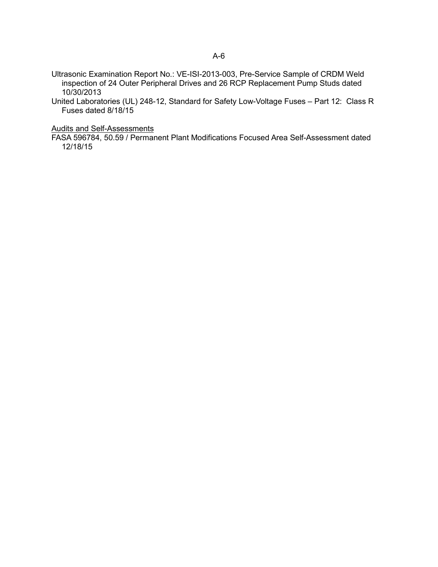- Ultrasonic Examination Report No.: VE-ISI-2013-003, Pre-Service Sample of CRDM Weld inspection of 24 Outer Peripheral Drives and 26 RCP Replacement Pump Studs dated 10/30/2013
- United Laboratories (UL) 248-12, Standard for Safety Low-Voltage Fuses Part 12: Class R Fuses dated 8/18/15

Audits and Self-Assessments

FASA 596784, 50.59 / Permanent Plant Modifications Focused Area Self-Assessment dated 12/18/15